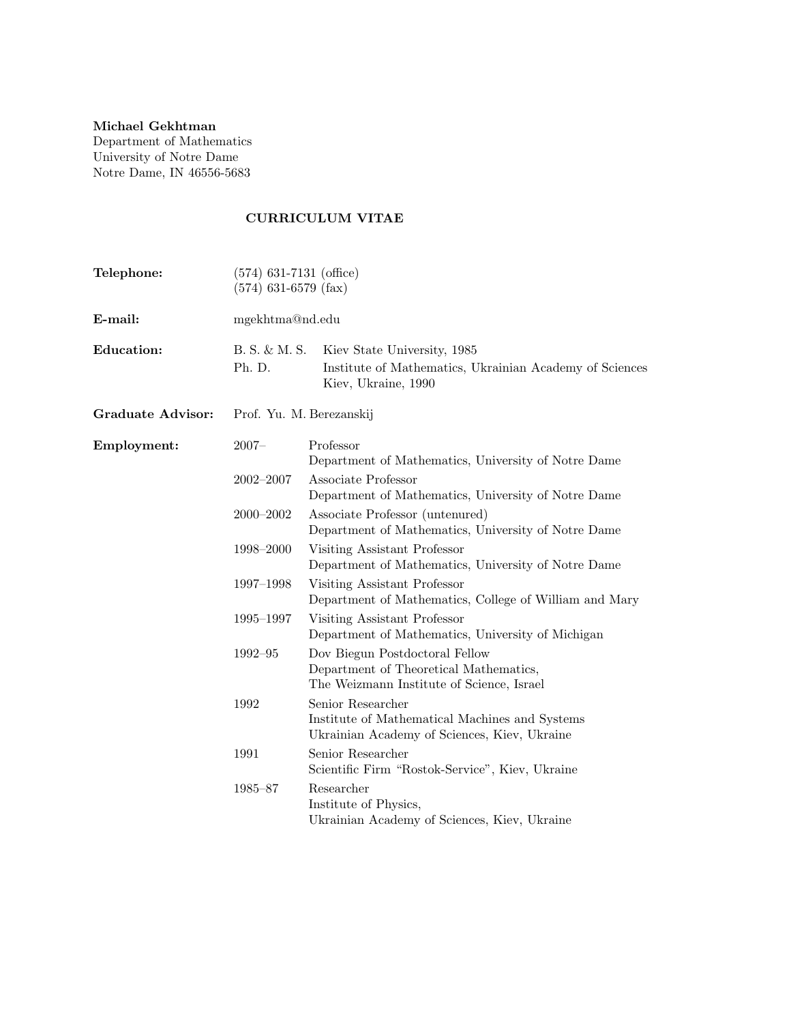## Michael Gekhtman

Department of Mathematics University of Notre Dame Notre Dame, IN 46556-5683

# CURRICULUM VITAE

| Telephone:               | $(574)$ 631-7131 (office)<br>$(574)$ 631-6579 (fax) |                                                                                                                       |  |
|--------------------------|-----------------------------------------------------|-----------------------------------------------------------------------------------------------------------------------|--|
| E-mail:                  | mgekhtma@nd.edu                                     |                                                                                                                       |  |
| <b>Education:</b>        | B. S. & M. S.<br>Ph. D.                             | Kiev State University, 1985<br>Institute of Mathematics, Ukrainian Academy of Sciences<br>Kiev, Ukraine, 1990         |  |
| <b>Graduate Advisor:</b> | Prof. Yu. M. Berezanskij                            |                                                                                                                       |  |
| Employment:              | $2007 -$                                            | Professor<br>Department of Mathematics, University of Notre Dame                                                      |  |
|                          | $2002 - 2007$                                       | Associate Professor<br>Department of Mathematics, University of Notre Dame                                            |  |
|                          | $2000 - 2002$                                       | Associate Professor (untenured)<br>Department of Mathematics, University of Notre Dame                                |  |
|                          | 1998-2000                                           | Visiting Assistant Professor<br>Department of Mathematics, University of Notre Dame                                   |  |
|                          | 1997-1998                                           | Visiting Assistant Professor<br>Department of Mathematics, College of William and Mary                                |  |
|                          | 1995-1997                                           | Visiting Assistant Professor<br>Department of Mathematics, University of Michigan                                     |  |
|                          | 1992-95                                             | Dov Biegun Postdoctoral Fellow<br>Department of Theoretical Mathematics,<br>The Weizmann Institute of Science, Israel |  |
|                          | 1992                                                | Senior Researcher<br>Institute of Mathematical Machines and Systems<br>Ukrainian Academy of Sciences, Kiev, Ukraine   |  |
|                          | 1991                                                | Senior Researcher<br>Scientific Firm "Rostok-Service", Kiev, Ukraine                                                  |  |
|                          | 1985-87                                             | Researcher<br>Institute of Physics,<br>Ukrainian Academy of Sciences, Kiev, Ukraine                                   |  |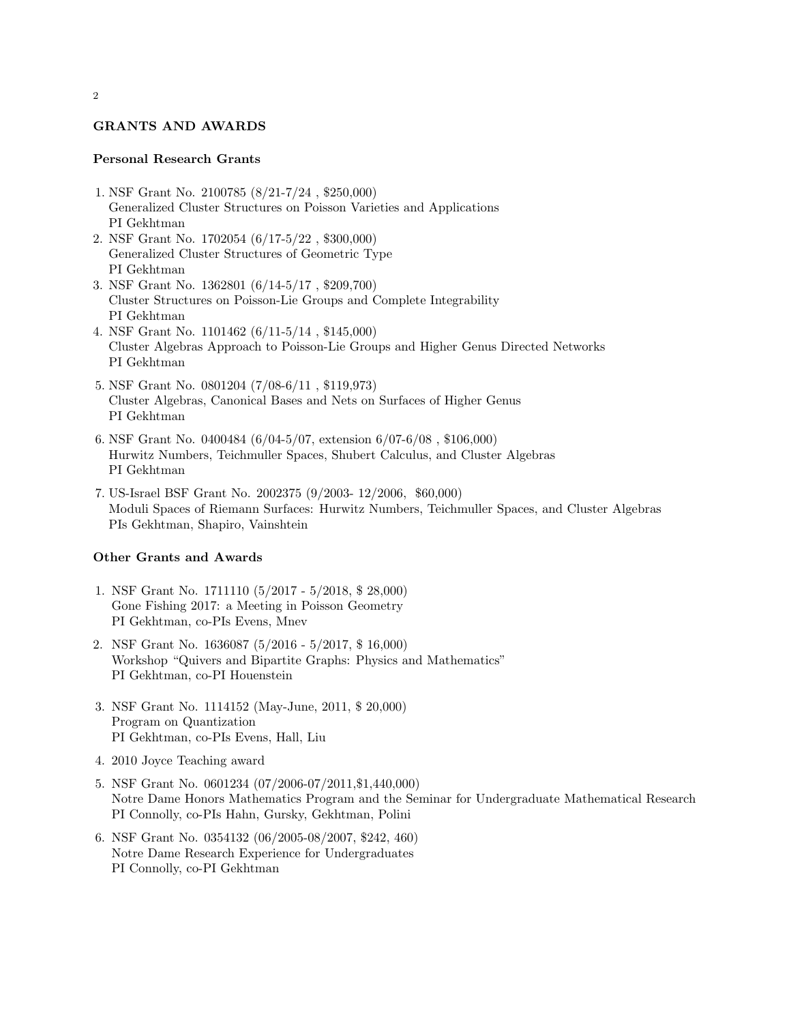### GRANTS AND AWARDS

### Personal Research Grants

- 1. NSF Grant No. 2100785 (8/21-7/24 , \$250,000) Generalized Cluster Structures on Poisson Varieties and Applications PI Gekhtman
- 2. NSF Grant No. 1702054 (6/17-5/22 , \$300,000) Generalized Cluster Structures of Geometric Type PI Gekhtman
- 3. NSF Grant No. 1362801 (6/14-5/17 , \$209,700) Cluster Structures on Poisson-Lie Groups and Complete Integrability PI Gekhtman
- 4. NSF Grant No. 1101462 (6/11-5/14 , \$145,000) Cluster Algebras Approach to Poisson-Lie Groups and Higher Genus Directed Networks PI Gekhtman
- 5. NSF Grant No. 0801204 (7/08-6/11 , \$119,973) Cluster Algebras, Canonical Bases and Nets on Surfaces of Higher Genus PI Gekhtman
- 6. NSF Grant No. 0400484 (6/04-5/07, extension 6/07-6/08 , \$106,000) Hurwitz Numbers, Teichmuller Spaces, Shubert Calculus, and Cluster Algebras PI Gekhtman
- 7. US-Israel BSF Grant No. 2002375 (9/2003- 12/2006, \$60,000) Moduli Spaces of Riemann Surfaces: Hurwitz Numbers, Teichmuller Spaces, and Cluster Algebras PIs Gekhtman, Shapiro, Vainshtein

### Other Grants and Awards

- 1. NSF Grant No. 1711110 (5/2017 5/2018, \$ 28,000) Gone Fishing 2017: a Meeting in Poisson Geometry PI Gekhtman, co-PIs Evens, Mnev
- 2. NSF Grant No. 1636087 (5/2016 5/2017, \$ 16,000) Workshop "Quivers and Bipartite Graphs: Physics and Mathematics" PI Gekhtman, co-PI Houenstein
- 3. NSF Grant No. 1114152 (May-June, 2011, \$ 20,000) Program on Quantization PI Gekhtman, co-PIs Evens, Hall, Liu
- 4. 2010 Joyce Teaching award
- 5. NSF Grant No. 0601234 (07/2006-07/2011,\$1,440,000) Notre Dame Honors Mathematics Program and the Seminar for Undergraduate Mathematical Research PI Connolly, co-PIs Hahn, Gursky, Gekhtman, Polini
- 6. NSF Grant No. 0354132 (06/2005-08/2007, \$242, 460) Notre Dame Research Experience for Undergraduates PI Connolly, co-PI Gekhtman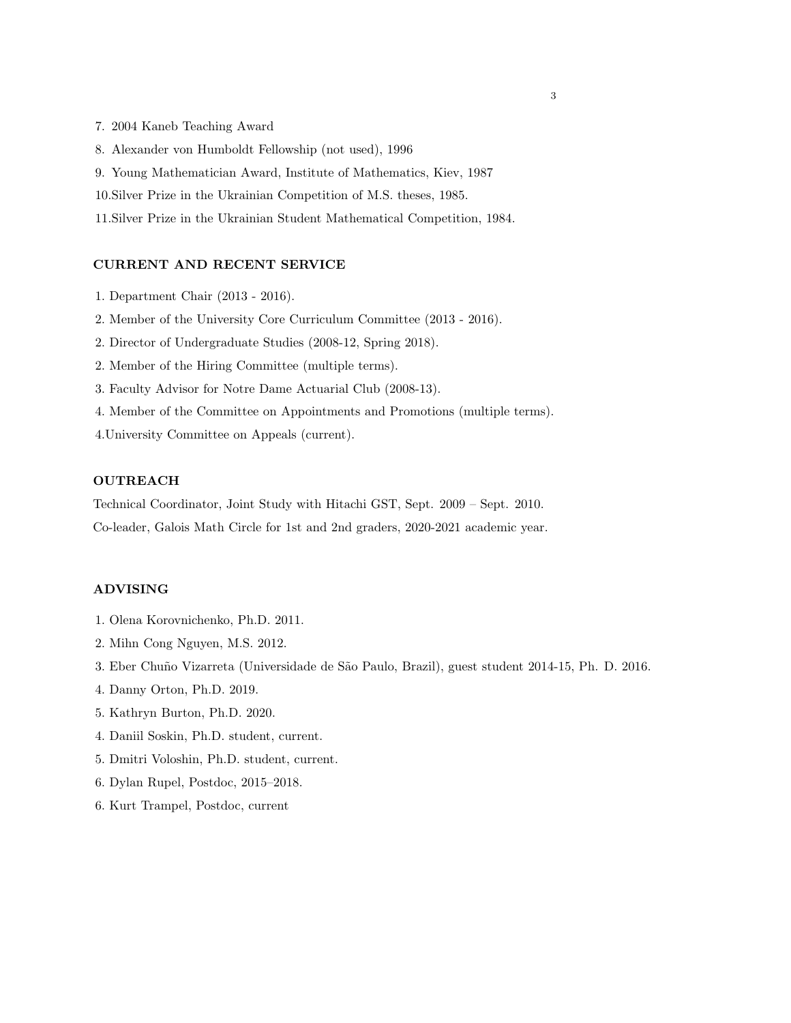- 7. 2004 Kaneb Teaching Award
- 8. Alexander von Humboldt Fellowship (not used), 1996
- 9. Young Mathematician Award, Institute of Mathematics, Kiev, 1987
- 10.Silver Prize in the Ukrainian Competition of M.S. theses, 1985.
- 11.Silver Prize in the Ukrainian Student Mathematical Competition, 1984.

#### CURRENT AND RECENT SERVICE

- 1. Department Chair (2013 2016).
- 2. Member of the University Core Curriculum Committee (2013 2016).
- 2. Director of Undergraduate Studies (2008-12, Spring 2018).
- 2. Member of the Hiring Committee (multiple terms).
- 3. Faculty Advisor for Notre Dame Actuarial Club (2008-13).
- 4. Member of the Committee on Appointments and Promotions (multiple terms).
- 4.University Committee on Appeals (current).

### OUTREACH

Technical Coordinator, Joint Study with Hitachi GST, Sept. 2009 – Sept. 2010. Co-leader, Galois Math Circle for 1st and 2nd graders, 2020-2021 academic year.

### ADVISING

- 1. Olena Korovnichenko, Ph.D. 2011.
- 2. Mihn Cong Nguyen, M.S. 2012.
- 3. Eber Chuño Vizarreta (Universidade de São Paulo, Brazil), guest student 2014-15, Ph. D. 2016.
- 4. Danny Orton, Ph.D. 2019.
- 5. Kathryn Burton, Ph.D. 2020.
- 4. Daniil Soskin, Ph.D. student, current.
- 5. Dmitri Voloshin, Ph.D. student, current.
- 6. Dylan Rupel, Postdoc, 2015–2018.
- 6. Kurt Trampel, Postdoc, current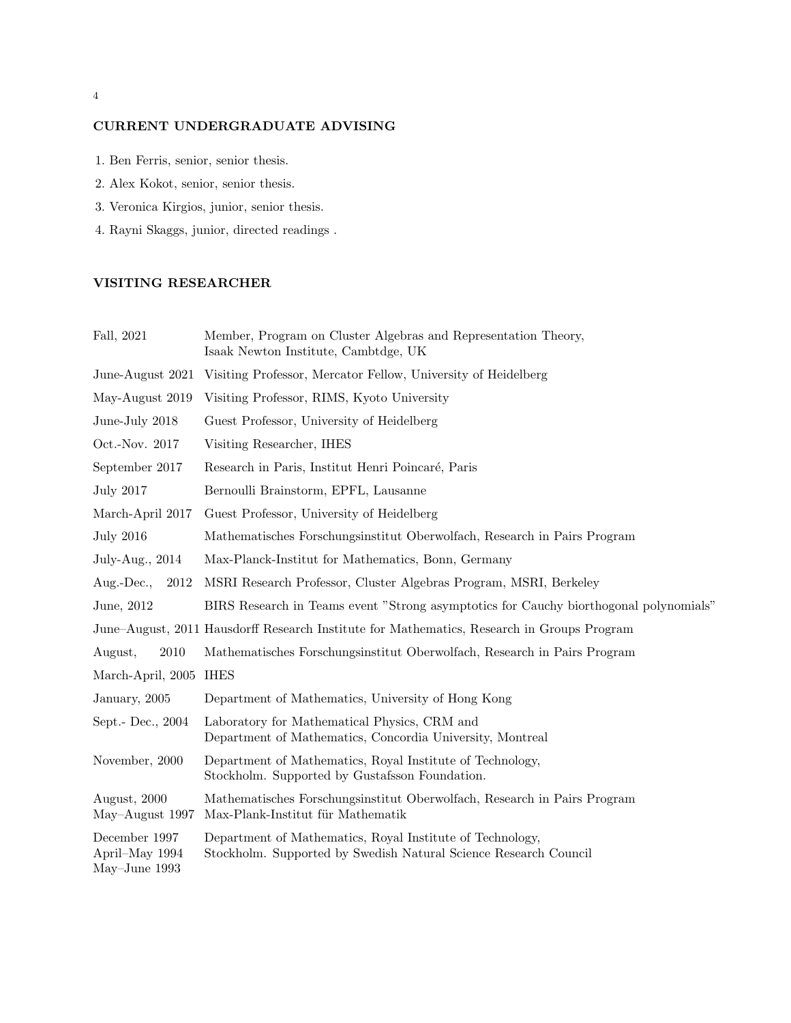## CURRENT UNDERGRADUATE ADVISING

- 1. Ben Ferris, senior, senior thesis.
- 2. Alex Kokot, senior, senior thesis.
- 3. Veronica Kirgios, junior, senior thesis.
- 4. Rayni Skaggs, junior, directed readings .

## VISITING RESEARCHER

| Fall, 2021                                         | Member, Program on Cluster Algebras and Representation Theory,<br>Isaak Newton Institute, Cambtdge, UK                        |
|----------------------------------------------------|-------------------------------------------------------------------------------------------------------------------------------|
| June-August 2021                                   | Visiting Professor, Mercator Fellow, University of Heidelberg                                                                 |
| May-August 2019                                    | Visiting Professor, RIMS, Kyoto University                                                                                    |
| June-July 2018                                     | Guest Professor, University of Heidelberg                                                                                     |
| Oct.-Nov. 2017                                     | Visiting Researcher, IHES                                                                                                     |
| September 2017                                     | Research in Paris, Institut Henri Poincaré, Paris                                                                             |
| <b>July 2017</b>                                   | Bernoulli Brainstorm, EPFL, Lausanne                                                                                          |
| March-April 2017                                   | Guest Professor, University of Heidelberg                                                                                     |
| <b>July 2016</b>                                   | Mathematisches Forschungsinstitut Oberwolfach, Research in Pairs Program                                                      |
| July-Aug., 2014                                    | Max-Planck-Institut for Mathematics, Bonn, Germany                                                                            |
| $Aug.-Dec.,$<br>2012                               | MSRI Research Professor, Cluster Algebras Program, MSRI, Berkeley                                                             |
| June, 2012                                         | BIRS Research in Teams event "Strong asymptotics for Cauchy biorthogonal polynomials"                                         |
|                                                    | June–August, 2011 Hausdorff Research Institute for Mathematics, Research in Groups Program                                    |
| August,<br>2010                                    | Mathematisches Forschungsinstitut Oberwolfach, Research in Pairs Program                                                      |
| March-April, 2005                                  | <b>IHES</b>                                                                                                                   |
| January, 2005                                      | Department of Mathematics, University of Hong Kong                                                                            |
| Sept.- Dec., 2004                                  | Laboratory for Mathematical Physics, CRM and<br>Department of Mathematics, Concordia University, Montreal                     |
| November, 2000                                     | Department of Mathematics, Royal Institute of Technology,<br>Stockholm. Supported by Gustafsson Foundation.                   |
| August, 2000<br>May-August 1997                    | Mathematisches Forschungsinstitut Oberwolfach, Research in Pairs Program<br>Max-Plank-Institut für Mathematik                 |
| December 1997<br>April-May 1994<br>May-June $1993$ | Department of Mathematics, Royal Institute of Technology,<br>Stockholm. Supported by Swedish Natural Science Research Council |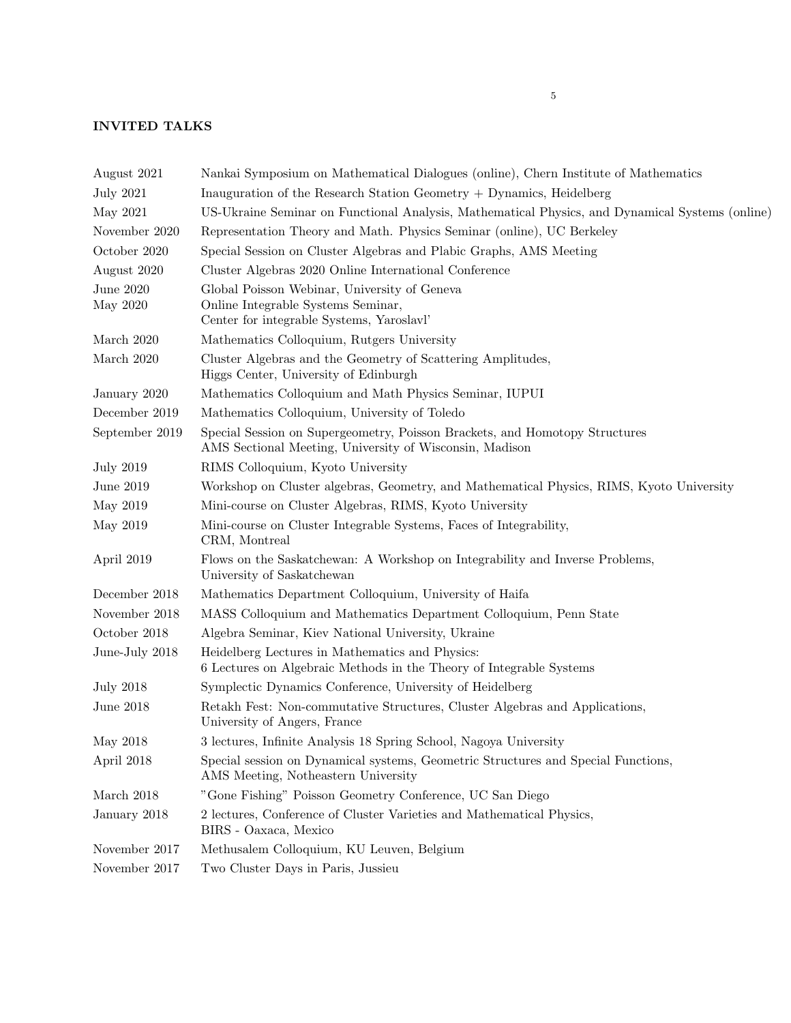## INVITED TALKS

| August 2021           | Nankai Symposium on Mathematical Dialogues (online), Chern Institute of Mathematics                                                    |
|-----------------------|----------------------------------------------------------------------------------------------------------------------------------------|
| <b>July 2021</b>      | Inauguration of the Research Station Geometry $+$ Dynamics, Heidelberg                                                                 |
| May 2021              | US-Ukraine Seminar on Functional Analysis, Mathematical Physics, and Dynamical Systems (online)                                        |
| November 2020         | Representation Theory and Math. Physics Seminar (online), UC Berkeley                                                                  |
| October 2020          | Special Session on Cluster Algebras and Plabic Graphs, AMS Meeting                                                                     |
| August 2020           | Cluster Algebras 2020 Online International Conference                                                                                  |
| June 2020<br>May 2020 | Global Poisson Webinar, University of Geneva<br>Online Integrable Systems Seminar,<br>Center for integrable Systems, Yaroslavl'        |
| March 2020            | Mathematics Colloquium, Rutgers University                                                                                             |
| March 2020            | Cluster Algebras and the Geometry of Scattering Amplitudes,<br>Higgs Center, University of Edinburgh                                   |
| January 2020          | Mathematics Colloquium and Math Physics Seminar, IUPUI                                                                                 |
| December 2019         | Mathematics Colloquium, University of Toledo                                                                                           |
| September 2019        | Special Session on Supergeometry, Poisson Brackets, and Homotopy Structures<br>AMS Sectional Meeting, University of Wisconsin, Madison |
| <b>July 2019</b>      | RIMS Colloquium, Kyoto University                                                                                                      |
| June 2019             | Workshop on Cluster algebras, Geometry, and Mathematical Physics, RIMS, Kyoto University                                               |
| May 2019              | Mini-course on Cluster Algebras, RIMS, Kyoto University                                                                                |
| May 2019              | Mini-course on Cluster Integrable Systems, Faces of Integrability,<br>CRM, Montreal                                                    |
| April 2019            | Flows on the Saskatchewan: A Workshop on Integrability and Inverse Problems,<br>University of Saskatchewan                             |
| December 2018         | Mathematics Department Colloquium, University of Haifa                                                                                 |
| November 2018         | MASS Colloquium and Mathematics Department Colloquium, Penn State                                                                      |
| October 2018          | Algebra Seminar, Kiev National University, Ukraine                                                                                     |
| June-July 2018        | Heidelberg Lectures in Mathematics and Physics:<br>6 Lectures on Algebraic Methods in the Theory of Integrable Systems                 |
| <b>July 2018</b>      | Symplectic Dynamics Conference, University of Heidelberg                                                                               |
| June 2018             | Retakh Fest: Non-commutative Structures, Cluster Algebras and Applications,<br>University of Angers, France                            |
| May 2018              | 3 lectures, Infinite Analysis 18 Spring School, Nagoya University                                                                      |
| April 2018            | Special session on Dynamical systems, Geometric Structures and Special Functions,<br>AMS Meeting, Notheastern University               |
| March 2018            | "Gone Fishing" Poisson Geometry Conference, UC San Diego                                                                               |
| January 2018          | 2 lectures, Conference of Cluster Varieties and Mathematical Physics,<br>BIRS - Oaxaca, Mexico                                         |
| November 2017         | Methusalem Colloquium, KU Leuven, Belgium                                                                                              |
| November 2017         | Two Cluster Days in Paris, Jussieu                                                                                                     |
|                       |                                                                                                                                        |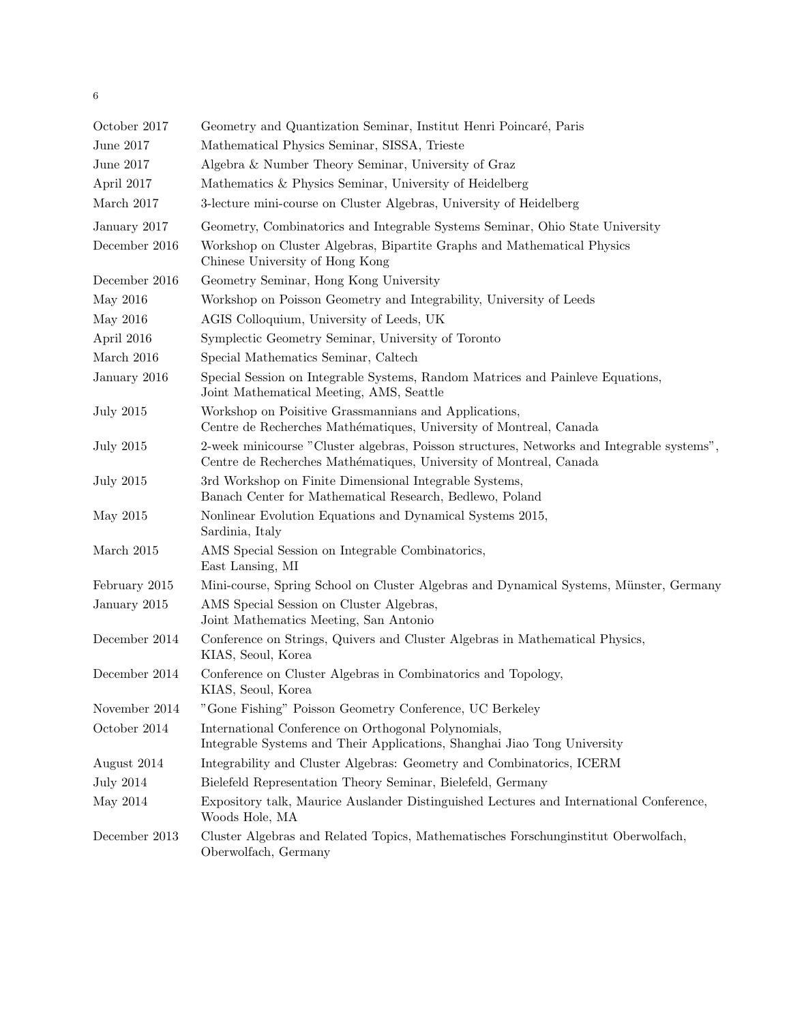| October 2017     | Geometry and Quantization Seminar, Institut Henri Poincaré, Paris                                                                                                |
|------------------|------------------------------------------------------------------------------------------------------------------------------------------------------------------|
| June 2017        | Mathematical Physics Seminar, SISSA, Trieste                                                                                                                     |
| June 2017        | Algebra & Number Theory Seminar, University of Graz                                                                                                              |
| April 2017       | Mathematics & Physics Seminar, University of Heidelberg                                                                                                          |
| March 2017       | 3-lecture mini-course on Cluster Algebras, University of Heidelberg                                                                                              |
| January 2017     | Geometry, Combinatorics and Integrable Systems Seminar, Ohio State University                                                                                    |
| December 2016    | Workshop on Cluster Algebras, Bipartite Graphs and Mathematical Physics<br>Chinese University of Hong Kong                                                       |
| December 2016    | Geometry Seminar, Hong Kong University                                                                                                                           |
| May 2016         | Workshop on Poisson Geometry and Integrability, University of Leeds                                                                                              |
| May 2016         | AGIS Colloquium, University of Leeds, UK                                                                                                                         |
| April 2016       | Symplectic Geometry Seminar, University of Toronto                                                                                                               |
| March 2016       | Special Mathematics Seminar, Caltech                                                                                                                             |
| January 2016     | Special Session on Integrable Systems, Random Matrices and Painleve Equations,<br>Joint Mathematical Meeting, AMS, Seattle                                       |
| <b>July 2015</b> | Workshop on Poisitive Grassmannians and Applications,<br>Centre de Recherches Mathématiques, University of Montreal, Canada                                      |
| July 2015        | 2-week minicourse "Cluster algebras, Poisson structures, Networks and Integrable systems",<br>Centre de Recherches Mathématiques, University of Montreal, Canada |
| <b>July 2015</b> | 3rd Workshop on Finite Dimensional Integrable Systems,<br>Banach Center for Mathematical Research, Bedlewo, Poland                                               |
| May 2015         | Nonlinear Evolution Equations and Dynamical Systems 2015,<br>Sardinia, Italy                                                                                     |
| March 2015       | AMS Special Session on Integrable Combinatorics,<br>East Lansing, MI                                                                                             |
| February 2015    | Mini-course, Spring School on Cluster Algebras and Dynamical Systems, Münster, Germany                                                                           |
| January 2015     | AMS Special Session on Cluster Algebras,<br>Joint Mathematics Meeting, San Antonio                                                                               |
| December 2014    | Conference on Strings, Quivers and Cluster Algebras in Mathematical Physics,<br>KIAS, Seoul, Korea                                                               |
| December 2014    | Conference on Cluster Algebras in Combinatorics and Topology,<br>KIAS, Seoul, Korea                                                                              |
| November 2014    | "Gone Fishing" Poisson Geometry Conference, UC Berkeley                                                                                                          |
| October 2014     | International Conference on Orthogonal Polynomials,<br>Integrable Systems and Their Applications, Shanghai Jiao Tong University                                  |
| August 2014      | Integrability and Cluster Algebras: Geometry and Combinatorics, ICERM                                                                                            |
| <b>July 2014</b> | Bielefeld Representation Theory Seminar, Bielefeld, Germany                                                                                                      |
| May 2014         | Expository talk, Maurice Auslander Distinguished Lectures and International Conference,<br>Woods Hole, MA                                                        |
| December 2013    | Cluster Algebras and Related Topics, Mathematisches Forschunginstitut Oberwolfach,<br>Oberwolfach, Germany                                                       |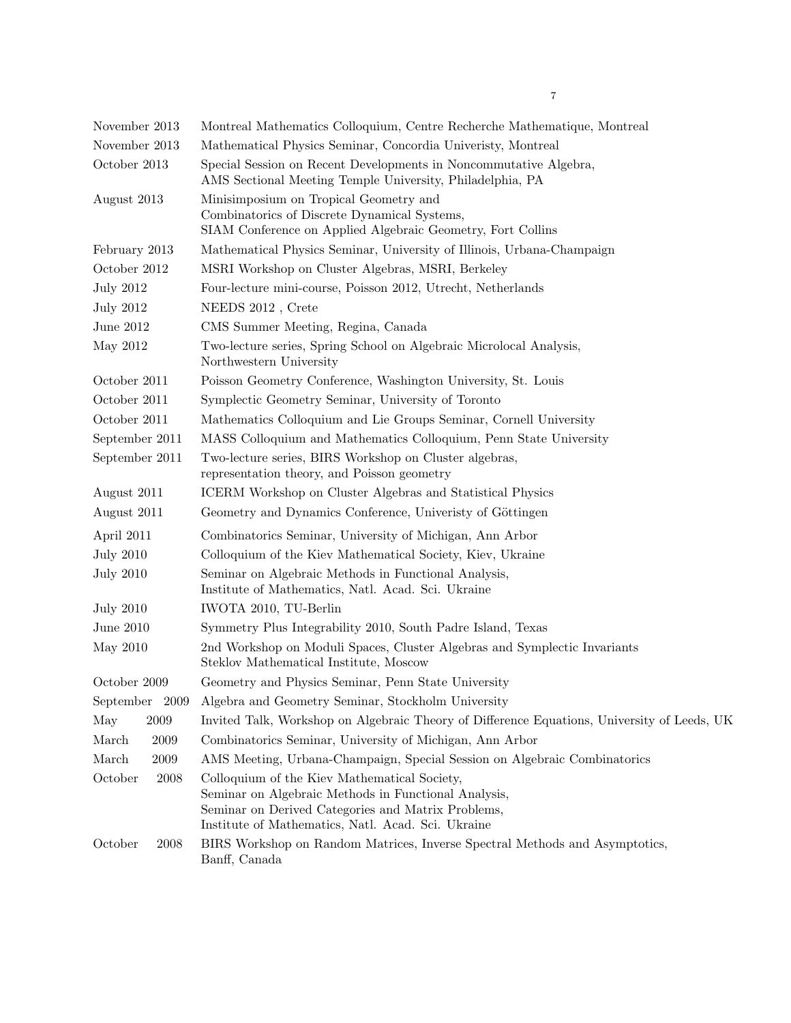| November 2013    | Montreal Mathematics Colloquium, Centre Recherche Mathematique, Montreal                                                                                                                                         |
|------------------|------------------------------------------------------------------------------------------------------------------------------------------------------------------------------------------------------------------|
| November 2013    | Mathematical Physics Seminar, Concordia University, Montreal                                                                                                                                                     |
| October 2013     | Special Session on Recent Developments in Noncommutative Algebra,<br>AMS Sectional Meeting Temple University, Philadelphia, PA                                                                                   |
| August 2013      | Minisimposium on Tropical Geometry and<br>Combinatorics of Discrete Dynamical Systems,<br>SIAM Conference on Applied Algebraic Geometry, Fort Collins                                                            |
| February 2013    | Mathematical Physics Seminar, University of Illinois, Urbana-Champaign                                                                                                                                           |
| October 2012     | MSRI Workshop on Cluster Algebras, MSRI, Berkeley                                                                                                                                                                |
| <b>July 2012</b> | Four-lecture mini-course, Poisson 2012, Utrecht, Netherlands                                                                                                                                                     |
| <b>July 2012</b> | NEEDS 2012, Crete                                                                                                                                                                                                |
| June 2012        | CMS Summer Meeting, Regina, Canada                                                                                                                                                                               |
| May 2012         | Two-lecture series, Spring School on Algebraic Microlocal Analysis,<br>Northwestern University                                                                                                                   |
| October 2011     | Poisson Geometry Conference, Washington University, St. Louis                                                                                                                                                    |
| October 2011     | Symplectic Geometry Seminar, University of Toronto                                                                                                                                                               |
| October 2011     | Mathematics Colloquium and Lie Groups Seminar, Cornell University                                                                                                                                                |
| September 2011   | MASS Colloquium and Mathematics Colloquium, Penn State University                                                                                                                                                |
| September 2011   | Two-lecture series, BIRS Workshop on Cluster algebras,<br>representation theory, and Poisson geometry                                                                                                            |
| August 2011      | ICERM Workshop on Cluster Algebras and Statistical Physics                                                                                                                                                       |
| August 2011      | Geometry and Dynamics Conference, University of Göttingen                                                                                                                                                        |
| April 2011       | Combinatorics Seminar, University of Michigan, Ann Arbor                                                                                                                                                         |
| <b>July 2010</b> | Colloquium of the Kiev Mathematical Society, Kiev, Ukraine                                                                                                                                                       |
| <b>July 2010</b> | Seminar on Algebraic Methods in Functional Analysis,<br>Institute of Mathematics, Natl. Acad. Sci. Ukraine                                                                                                       |
| <b>July 2010</b> | IWOTA 2010, TU-Berlin                                                                                                                                                                                            |
| June 2010        | Symmetry Plus Integrability 2010, South Padre Island, Texas                                                                                                                                                      |
| May 2010         | 2nd Workshop on Moduli Spaces, Cluster Algebras and Symplectic Invariants<br>Steklov Mathematical Institute, Moscow                                                                                              |
| October 2009     | Geometry and Physics Seminar, Penn State University                                                                                                                                                              |
| September 2009   | Algebra and Geometry Seminar, Stockholm University                                                                                                                                                               |
| 2009<br>May      | Invited Talk, Workshop on Algebraic Theory of Difference Equations, University of Leeds, UK                                                                                                                      |
| March<br>2009    | Combinatorics Seminar, University of Michigan, Ann Arbor                                                                                                                                                         |
| March<br>2009    | AMS Meeting, Urbana-Champaign, Special Session on Algebraic Combinatorics                                                                                                                                        |
| October<br>2008  | Colloquium of the Kiev Mathematical Society,<br>Seminar on Algebraic Methods in Functional Analysis,<br>Seminar on Derived Categories and Matrix Problems,<br>Institute of Mathematics, Natl. Acad. Sci. Ukraine |
| October<br>2008  | BIRS Workshop on Random Matrices, Inverse Spectral Methods and Asymptotics,<br>Banff, Canada                                                                                                                     |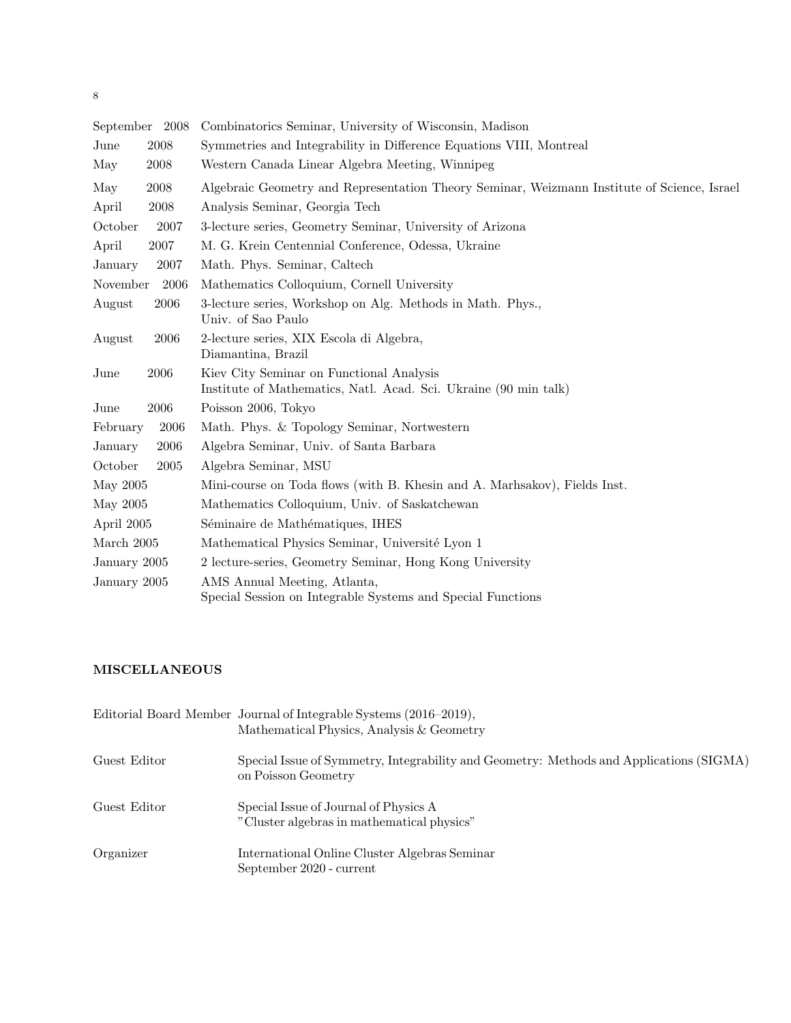| September 2008   |      | Combinatorics Seminar, University of Wisconsin, Madison                                                      |
|------------------|------|--------------------------------------------------------------------------------------------------------------|
| $_{\text{June}}$ | 2008 | Symmetries and Integrability in Difference Equations VIII, Montreal                                          |
| May              | 2008 | Western Canada Linear Algebra Meeting, Winnipeg                                                              |
| May              | 2008 | Algebraic Geometry and Representation Theory Seminar, Weizmann Institute of Science, Israel                  |
| April            | 2008 | Analysis Seminar, Georgia Tech                                                                               |
| October          | 2007 | 3-lecture series, Geometry Seminar, University of Arizona                                                    |
| April            | 2007 | M. G. Krein Centennial Conference, Odessa, Ukraine                                                           |
| January          | 2007 | Math. Phys. Seminar, Caltech                                                                                 |
| November         | 2006 | Mathematics Colloquium, Cornell University                                                                   |
| August           | 2006 | 3-lecture series, Workshop on Alg. Methods in Math. Phys.,<br>Univ. of Sao Paulo                             |
| August           | 2006 | 2-lecture series, XIX Escola di Algebra,<br>Diamantina, Brazil                                               |
| June             | 2006 | Kiev City Seminar on Functional Analysis<br>Institute of Mathematics, Natl. Acad. Sci. Ukraine (90 min talk) |
| $_{\text{June}}$ | 2006 | Poisson 2006, Tokyo                                                                                          |
| February         | 2006 | Math. Phys. & Topology Seminar, Nortwestern                                                                  |
| January          | 2006 | Algebra Seminar, Univ. of Santa Barbara                                                                      |
| October          | 2005 | Algebra Seminar, MSU                                                                                         |
| May 2005         |      | Mini-course on Toda flows (with B. Khesin and A. Marhsakov), Fields Inst.                                    |
| May 2005         |      | Mathematics Colloquium, Univ. of Saskatchewan                                                                |
| April 2005       |      | Séminaire de Mathématiques, IHES                                                                             |
| March 2005       |      | Mathematical Physics Seminar, Université Lyon 1                                                              |
| January 2005     |      | 2 lecture-series, Geometry Seminar, Hong Kong University                                                     |
| January 2005     |      | AMS Annual Meeting, Atlanta,<br>Special Session on Integrable Systems and Special Functions                  |

## MISCELLANEOUS

|              | Editorial Board Member Journal of Integrable Systems (2016–2019),<br>Mathematical Physics, Analysis & Geometry |
|--------------|----------------------------------------------------------------------------------------------------------------|
| Guest Editor | Special Issue of Symmetry, Integrability and Geometry: Methods and Applications (SIGMA)<br>on Poisson Geometry |
| Guest Editor | Special Issue of Journal of Physics A<br>"Cluster algebras in mathematical physics"                            |
| Organizer    | International Online Cluster Algebras Seminar<br>September 2020 - current                                      |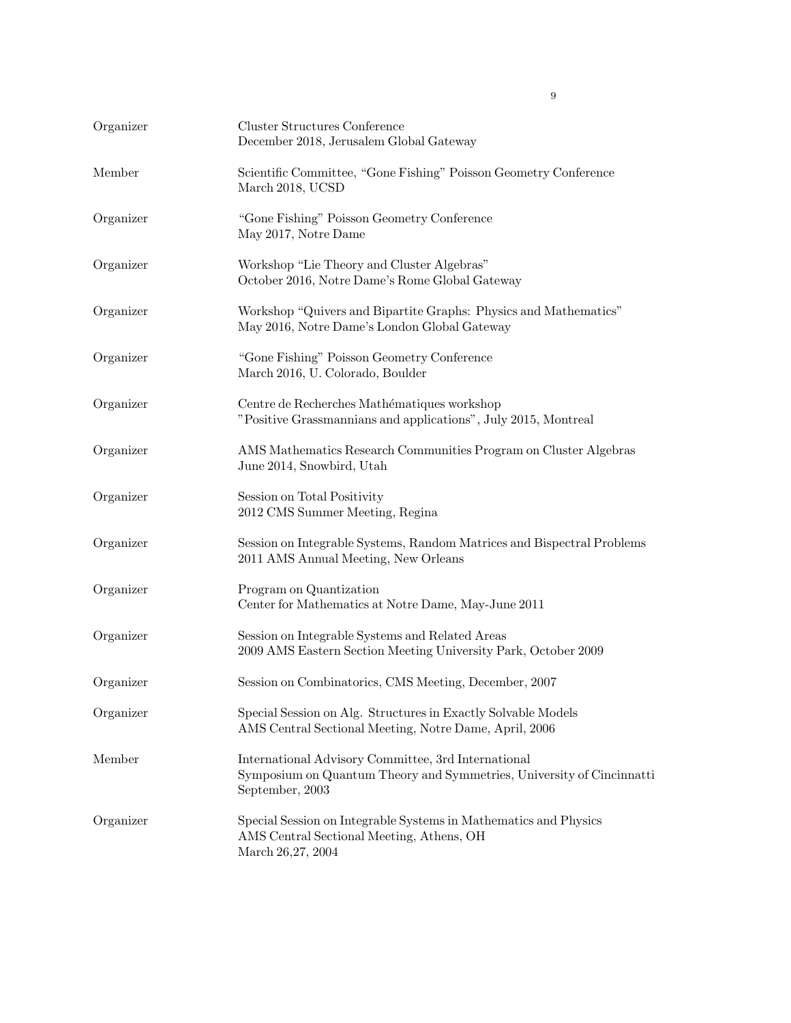| Organizer | Cluster Structures Conference<br>December 2018, Jerusalem Global Gateway                                                                        |
|-----------|-------------------------------------------------------------------------------------------------------------------------------------------------|
| Member    | Scientific Committee, "Gone Fishing" Poisson Geometry Conference<br>March 2018, UCSD                                                            |
| Organizer | "Gone Fishing" Poisson Geometry Conference<br>May 2017, Notre Dame                                                                              |
| Organizer | Workshop "Lie Theory and Cluster Algebras"<br>October 2016, Notre Dame's Rome Global Gateway                                                    |
| Organizer | Workshop "Quivers and Bipartite Graphs: Physics and Mathematics"<br>May 2016, Notre Dame's London Global Gateway                                |
| Organizer | "Gone Fishing" Poisson Geometry Conference<br>March 2016, U. Colorado, Boulder                                                                  |
| Organizer | Centre de Recherches Mathématiques workshop<br>"Positive Grassmannians and applications", July 2015, Montreal                                   |
| Organizer | AMS Mathematics Research Communities Program on Cluster Algebras<br>June 2014, Snowbird, Utah                                                   |
| Organizer | Session on Total Positivity<br>2012 CMS Summer Meeting, Regina                                                                                  |
| Organizer | Session on Integrable Systems, Random Matrices and Bispectral Problems<br>2011 AMS Annual Meeting, New Orleans                                  |
| Organizer | Program on Quantization<br>Center for Mathematics at Notre Dame, May-June 2011                                                                  |
| Organizer | Session on Integrable Systems and Related Areas<br>2009 AMS Eastern Section Meeting University Park, October 2009                               |
| Organizer | Session on Combinatorics, CMS Meeting, December, 2007                                                                                           |
| Organizer | Special Session on Alg. Structures in Exactly Solvable Models<br>AMS Central Sectional Meeting, Notre Dame, April, 2006                         |
| Member    | International Advisory Committee, 3rd International<br>Symposium on Quantum Theory and Symmetries, University of Cincinnatti<br>September, 2003 |
| Organizer | Special Session on Integrable Systems in Mathematics and Physics<br>AMS Central Sectional Meeting, Athens, OH<br>March 26,27, 2004              |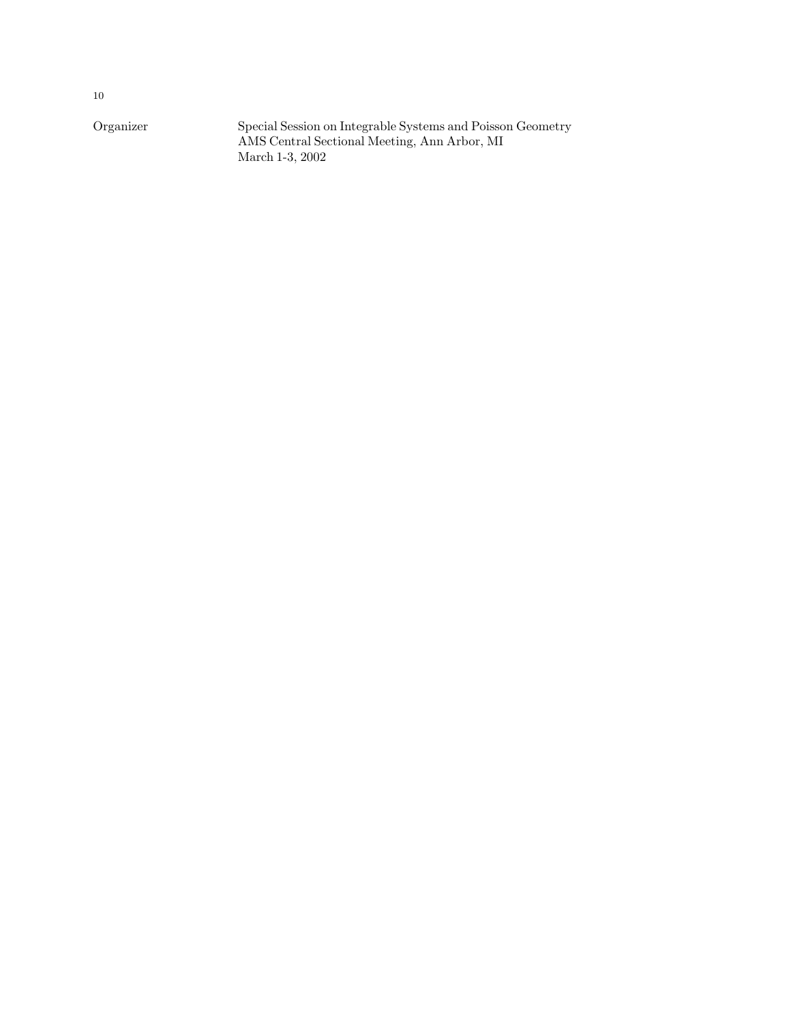Organizer Special Session on Integrable Systems and Poisson Geometry AMS Central Sectional Meeting, Ann Arbor, MI March 1-3, 2002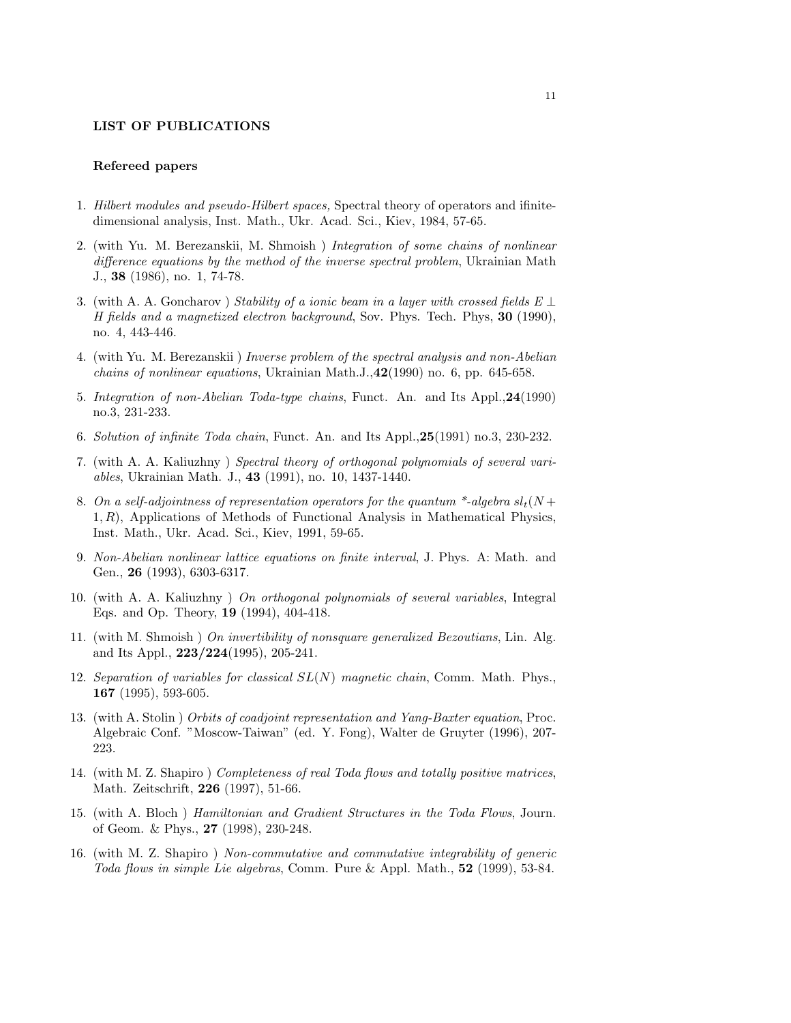### LIST OF PUBLICATIONS

#### Refereed papers

- 1. Hilbert modules and pseudo-Hilbert spaces, Spectral theory of operators and ifinitedimensional analysis, Inst. Math., Ukr. Acad. Sci., Kiev, 1984, 57-65.
- 2. (with Yu. M. Berezanskii, M. Shmoish ) Integration of some chains of nonlinear difference equations by the method of the inverse spectral problem, Ukrainian Math J., 38 (1986), no. 1, 74-78.
- 3. (with A. A. Goncharov) Stability of a ionic beam in a layer with crossed fields  $E \perp$ H fields and a magnetized electron background, Sov. Phys. Tech. Phys, 30 (1990), no. 4, 443-446.
- 4. (with Yu. M. Berezanskii ) Inverse problem of the spectral analysis and non-Abelian chains of nonlinear equations, Ukrainian Math.J.,42(1990) no. 6, pp. 645-658.
- 5. Integration of non-Abelian Toda-type chains, Funct. An. and Its Appl.,24(1990) no.3, 231-233.
- 6. Solution of infinite Toda chain, Funct. An. and Its Appl.,25(1991) no.3, 230-232.
- 7. (with A. A. Kaliuzhny ) Spectral theory of orthogonal polynomials of several variables, Ukrainian Math. J., 43 (1991), no. 10, 1437-1440.
- 8. On a self-adjointness of representation operators for the quantum \*-algebra  $sl_t(N)$ +  $1, R$ ), Applications of Methods of Functional Analysis in Mathematical Physics, Inst. Math., Ukr. Acad. Sci., Kiev, 1991, 59-65.
- 9. Non-Abelian nonlinear lattice equations on finite interval, J. Phys. A: Math. and Gen., 26 (1993), 6303-6317.
- 10. (with A. A. Kaliuzhny ) On orthogonal polynomials of several variables, Integral Eqs. and Op. Theory, 19 (1994), 404-418.
- 11. (with M. Shmoish ) On invertibility of nonsquare generalized Bezoutians, Lin. Alg. and Its Appl., 223/224(1995), 205-241.
- 12. Separation of variables for classical  $SL(N)$  magnetic chain, Comm. Math. Phys., 167 (1995), 593-605.
- 13. (with A. Stolin ) Orbits of coadjoint representation and Yang-Baxter equation, Proc. Algebraic Conf. "Moscow-Taiwan" (ed. Y. Fong), Walter de Gruyter (1996), 207- 223.
- 14. (with M. Z. Shapiro ) Completeness of real Toda flows and totally positive matrices, Math. Zeitschrift, 226 (1997), 51-66.
- 15. (with A. Bloch ) Hamiltonian and Gradient Structures in the Toda Flows, Journ. of Geom. & Phys., 27 (1998), 230-248.
- 16. (with M. Z. Shapiro ) Non-commutative and commutative integrability of generic Toda flows in simple Lie algebras, Comm. Pure & Appl. Math., 52 (1999), 53-84.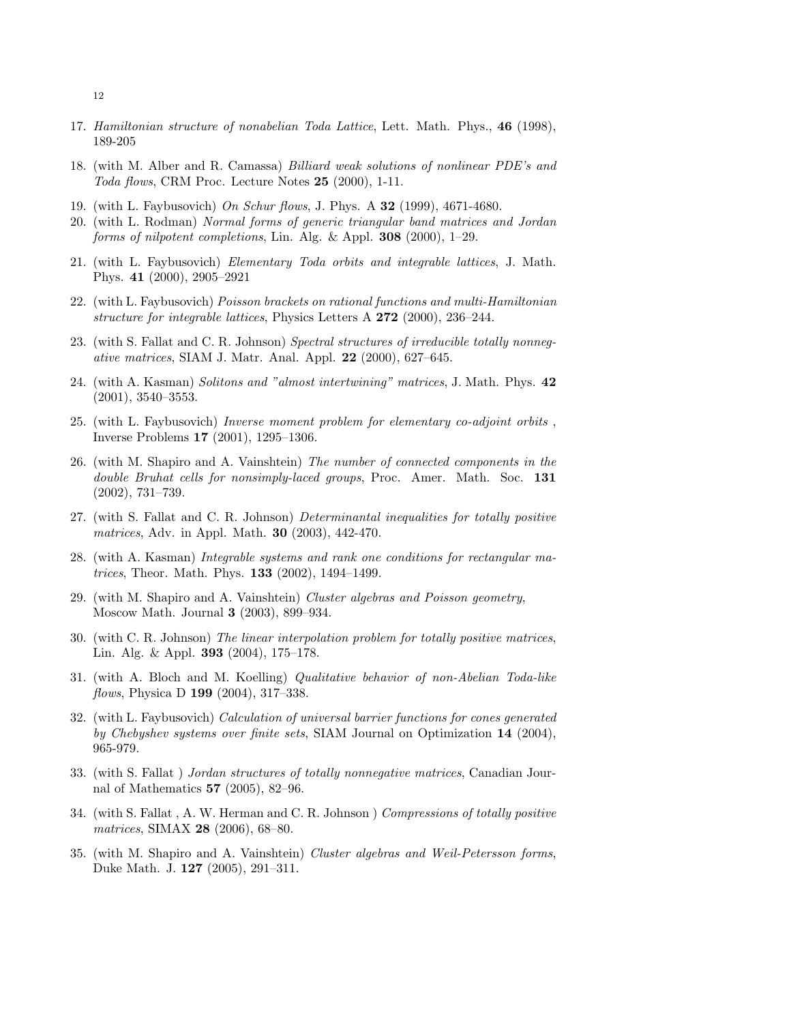- 17. Hamiltonian structure of nonabelian Toda Lattice, Lett. Math. Phys., 46 (1998), 189-205
- 18. (with M. Alber and R. Camassa) Billiard weak solutions of nonlinear PDE's and Toda flows, CRM Proc. Lecture Notes 25 (2000), 1-11.
- 19. (with L. Faybusovich) On Schur flows, J. Phys. A 32 (1999), 4671-4680.
- 20. (with L. Rodman) Normal forms of generic triangular band matrices and Jordan forms of nilpotent completions, Lin. Alg. & Appl.  $308$  (2000), 1–29.
- 21. (with L. Faybusovich) Elementary Toda orbits and integrable lattices, J. Math. Phys. 41 (2000), 2905–2921
- 22. (with L. Faybusovich) Poisson brackets on rational functions and multi-Hamiltonian structure for integrable lattices, Physics Letters A 272 (2000), 236–244.
- 23. (with S. Fallat and C. R. Johnson) Spectral structures of irreducible totally nonnegative matrices, SIAM J. Matr. Anal. Appl. 22 (2000), 627–645.
- 24. (with A. Kasman) Solitons and "almost intertwining" matrices, J. Math. Phys. 42 (2001), 3540–3553.
- 25. (with L. Faybusovich) Inverse moment problem for elementary co-adjoint orbits , Inverse Problems 17 (2001), 1295–1306.
- 26. (with M. Shapiro and A. Vainshtein) The number of connected components in the double Bruhat cells for nonsimply-laced groups, Proc. Amer. Math. Soc. 131 (2002), 731–739.
- 27. (with S. Fallat and C. R. Johnson) Determinantal inequalities for totally positive matrices, Adv. in Appl. Math. 30 (2003), 442-470.
- 28. (with A. Kasman) Integrable systems and rank one conditions for rectangular matrices, Theor. Math. Phys. 133 (2002), 1494–1499.
- 29. (with M. Shapiro and A. Vainshtein) Cluster algebras and Poisson geometry, Moscow Math. Journal 3 (2003), 899–934.
- 30. (with C. R. Johnson) The linear interpolation problem for totally positive matrices, Lin. Alg. & Appl. 393 (2004), 175–178.
- 31. (with A. Bloch and M. Koelling) Qualitative behavior of non-Abelian Toda-like flows, Physica D **199** (2004), 317-338.
- 32. (with L. Faybusovich) Calculation of universal barrier functions for cones generated by Chebyshev systems over finite sets, SIAM Journal on Optimization 14 (2004), 965-979.
- 33. (with S. Fallat ) Jordan structures of totally nonnegative matrices, Canadian Journal of Mathematics 57 (2005), 82–96.
- 34. (with S. Fallat , A. W. Herman and C. R. Johnson ) Compressions of totally positive matrices, SIMAX 28 (2006), 68–80.
- 35. (with M. Shapiro and A. Vainshtein) Cluster algebras and Weil-Petersson forms, Duke Math. J. 127 (2005), 291–311.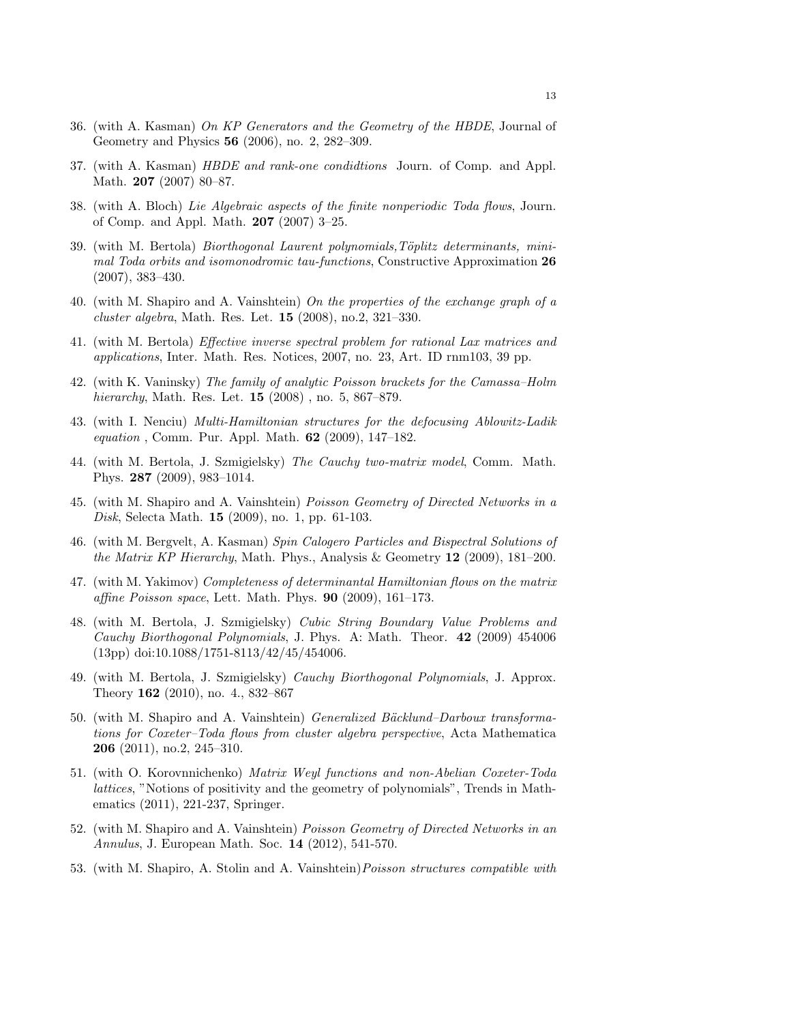- 36. (with A. Kasman) On KP Generators and the Geometry of the HBDE, Journal of Geometry and Physics 56 (2006), no. 2, 282–309.
- 37. (with A. Kasman) HBDE and rank-one condidtions Journ. of Comp. and Appl. Math. 207 (2007) 80–87.
- 38. (with A. Bloch) Lie Algebraic aspects of the finite nonperiodic Toda flows, Journ. of Comp. and Appl. Math. 207 (2007) 3–25.
- 39. (with M. Bertola) *Biorthogonal Laurent polynomials,Töplitz determinants, mini*mal Toda orbits and isomonodromic tau-functions, Constructive Approximation 26 (2007), 383–430.
- 40. (with M. Shapiro and A. Vainshtein) On the properties of the exchange graph of a cluster algebra, Math. Res. Let. 15 (2008), no.2, 321–330.
- 41. (with M. Bertola) Effective inverse spectral problem for rational Lax matrices and applications, Inter. Math. Res. Notices, 2007, no. 23, Art. ID rnm103, 39 pp.
- 42. (with K. Vaninsky) The family of analytic Poisson brackets for the Camassa–Holm hierarchy, Math. Res. Let. **15** (2008), no. 5, 867–879.
- 43. (with I. Nenciu) Multi-Hamiltonian structures for the defocusing Ablowitz-Ladik equation , Comm. Pur. Appl. Math. 62 (2009), 147–182.
- 44. (with M. Bertola, J. Szmigielsky) The Cauchy two-matrix model, Comm. Math. Phys. 287 (2009), 983–1014.
- 45. (with M. Shapiro and A. Vainshtein) Poisson Geometry of Directed Networks in a Disk, Selecta Math. 15 (2009), no. 1, pp. 61-103.
- 46. (with M. Bergvelt, A. Kasman) Spin Calogero Particles and Bispectral Solutions of the Matrix KP Hierarchy, Math. Phys., Analysis & Geometry 12 (2009), 181–200.
- 47. (with M. Yakimov) Completeness of determinantal Hamiltonian flows on the matrix affine Poisson space, Lett. Math. Phys.  $90$  (2009), 161–173.
- 48. (with M. Bertola, J. Szmigielsky) Cubic String Boundary Value Problems and Cauchy Biorthogonal Polynomials, J. Phys. A: Math. Theor. 42 (2009) 454006 (13pp) doi:10.1088/1751-8113/42/45/454006.
- 49. (with M. Bertola, J. Szmigielsky) Cauchy Biorthogonal Polynomials, J. Approx. Theory 162 (2010), no. 4., 832–867
- 50. (with M. Shapiro and A. Vainshtein) *Generalized Bäcklund–Darboux transforma*tions for Coxeter–Toda flows from cluster algebra perspective, Acta Mathematica 206 (2011), no.2, 245–310.
- 51. (with O. Korovnnichenko) Matrix Weyl functions and non-Abelian Coxeter-Toda lattices, "Notions of positivity and the geometry of polynomials", Trends in Mathematics (2011), 221-237, Springer.
- 52. (with M. Shapiro and A. Vainshtein) Poisson Geometry of Directed Networks in an Annulus, J. European Math. Soc. 14 (2012), 541-570.
- 53. (with M. Shapiro, A. Stolin and A. Vainshtein)Poisson structures compatible with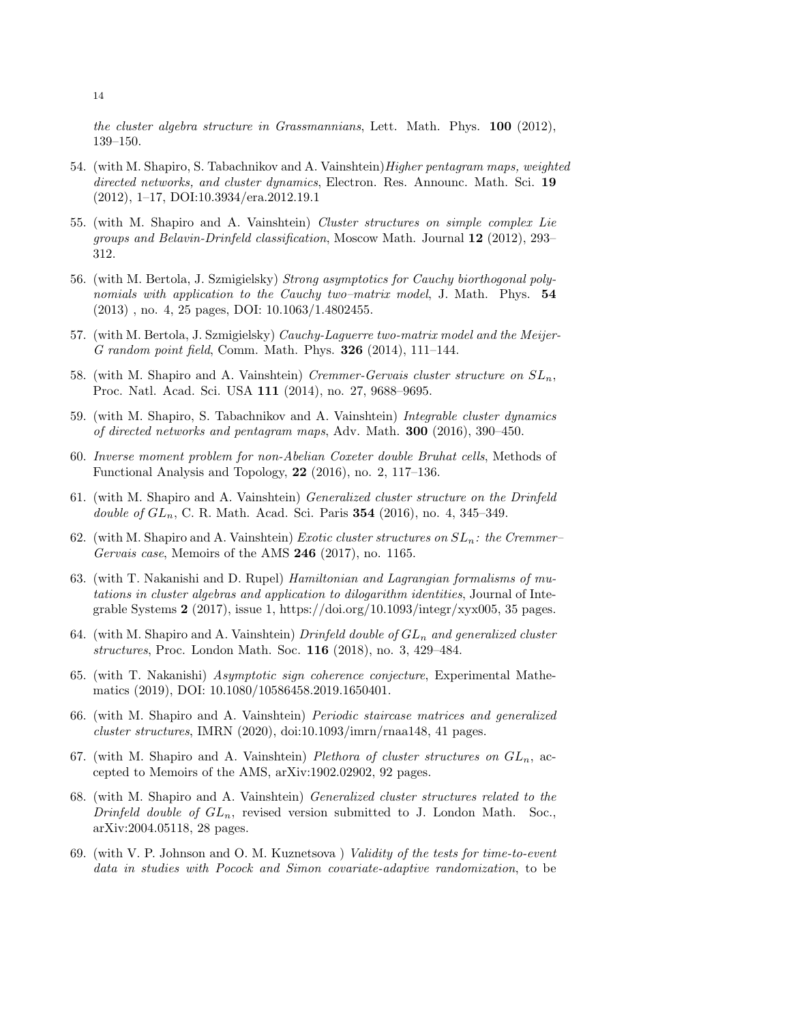the cluster algebra structure in Grassmannians, Lett. Math. Phys. 100 (2012), 139–150.

- 54. (with M. Shapiro, S. Tabachnikov and A. Vainshtein) *Higher pentagram maps, weighted* directed networks, and cluster dynamics, Electron. Res. Announc. Math. Sci. 19 (2012), 1–17, DOI:10.3934/era.2012.19.1
- 55. (with M. Shapiro and A. Vainshtein) Cluster structures on simple complex Lie groups and Belavin-Drinfeld classification, Moscow Math. Journal 12 (2012), 293– 312.
- 56. (with M. Bertola, J. Szmigielsky) Strong asymptotics for Cauchy biorthogonal polynomials with application to the Cauchy two–matrix model, J. Math. Phys. 54 (2013) , no. 4, 25 pages, DOI: 10.1063/1.4802455.
- 57. (with M. Bertola, J. Szmigielsky) Cauchy-Laguerre two-matrix model and the Meijer-G random point field, Comm. Math. Phys. 326 (2014), 111–144.
- 58. (with M. Shapiro and A. Vainshtein) Cremmer-Gervais cluster structure on  $SL_n$ , Proc. Natl. Acad. Sci. USA 111 (2014), no. 27, 9688–9695.
- 59. (with M. Shapiro, S. Tabachnikov and A. Vainshtein) Integrable cluster dynamics of directed networks and pentagram maps, Adv. Math. 300 (2016), 390–450.
- 60. Inverse moment problem for non-Abelian Coxeter double Bruhat cells, Methods of Functional Analysis and Topology, 22 (2016), no. 2, 117–136.
- 61. (with M. Shapiro and A. Vainshtein) Generalized cluster structure on the Drinfeld *double of*  $GL_n$ *, C. R. Math. Acad. Sci. Paris* 354 (2016), no. 4, 345-349.
- 62. (with M. Shapiro and A. Vainshtein) Exotic cluster structures on  $SL_n$ : the Cremmer– Gervais case, Memoirs of the AMS 246 (2017), no. 1165.
- 63. (with T. Nakanishi and D. Rupel) Hamiltonian and Lagrangian formalisms of mutations in cluster algebras and application to dilogarithm identities, Journal of Integrable Systems  $2$  (2017), issue 1, https://doi.org/10.1093/integr/xyx005, 35 pages.
- 64. (with M. Shapiro and A. Vainshtein) Drinfeld double of  $GL_n$  and generalized cluster structures, Proc. London Math. Soc. 116 (2018), no. 3, 429–484.
- 65. (with T. Nakanishi) Asymptotic sign coherence conjecture, Experimental Mathematics (2019), DOI: 10.1080/10586458.2019.1650401.
- 66. (with M. Shapiro and A. Vainshtein) Periodic staircase matrices and generalized cluster structures, IMRN (2020), doi:10.1093/imrn/rnaa148, 41 pages.
- 67. (with M. Shapiro and A. Vainshtein) Plethora of cluster structures on  $GL_n$ , accepted to Memoirs of the AMS, arXiv:1902.02902, 92 pages.
- 68. (with M. Shapiro and A. Vainshtein) Generalized cluster structures related to the Drinfeld double of  $GL_n$ , revised version submitted to J. London Math. Soc., arXiv:2004.05118, 28 pages.
- 69. (with V. P. Johnson and O. M. Kuznetsova ) Validity of the tests for time-to-event data in studies with Pocock and Simon covariate-adaptive randomization, to be